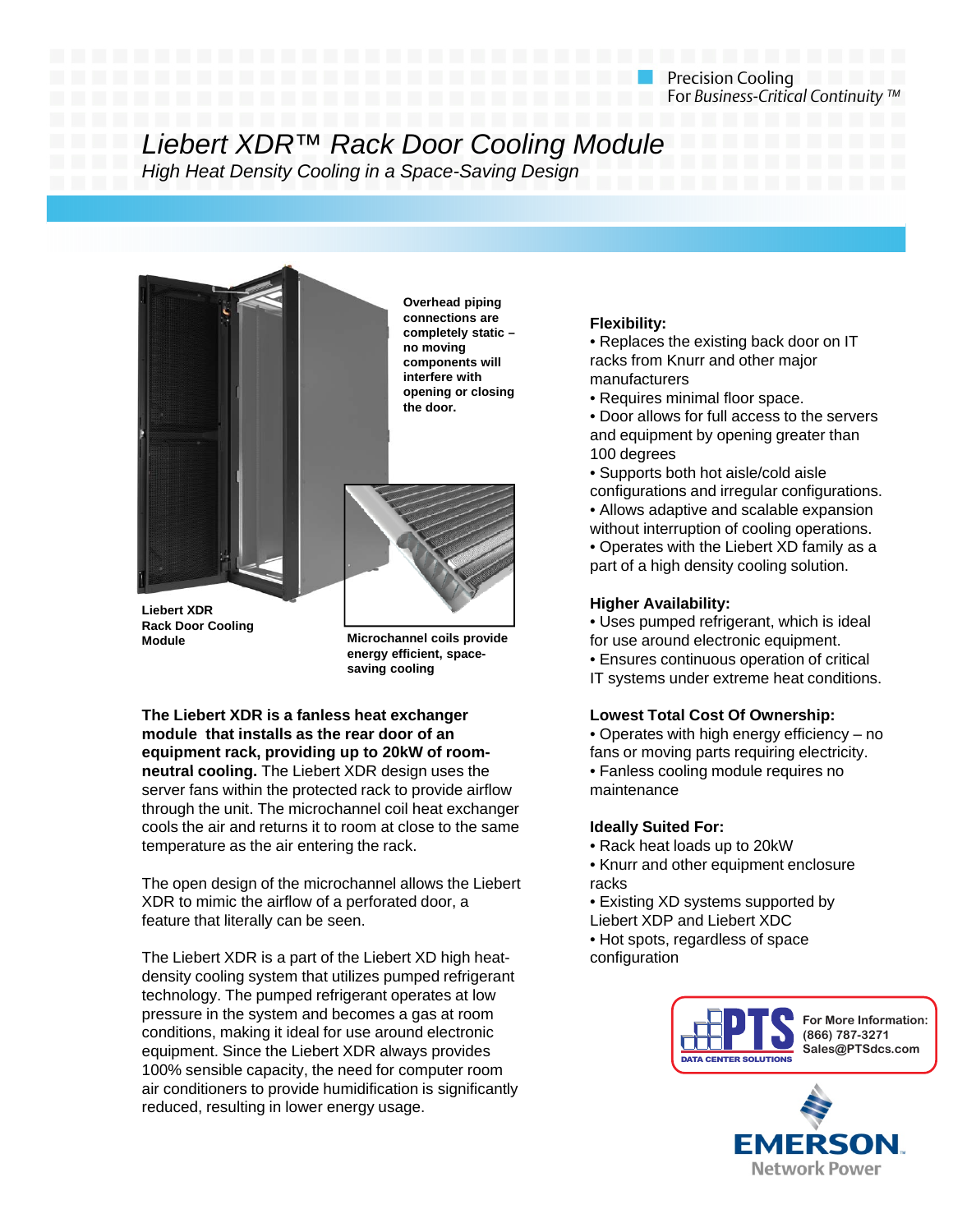# Liebert XDR™ Rack Door Cooling Module

*High Heat Density Cooling in a Space-Saving Design*



**Rack Door Cooling Module**

**Overhead piping pp gconnections are completely static – no moving components will interfere with opening or closing the door.**



**Microchannel coils provide energy efficient, spacesaving cooling**

**The Liebert XDR is a fanless heat exchanger module that installs as the rear door of an equipment rack, providing up to 20kW of roomneutral cooling** The Liebert XDR design uses the **neutral cooling.** The Liebert XDR design uses server fans within the protected rack to provide airflow through the unit. The microchannel coil heat exchanger cools the air and returns it to room at close to the same temperature as the air entering the rack.

The open design of the microchannel allows the Liebert XDR to mimic the airflow of a perforated door, a feature that literally can be seen. Liebert XDP and Liebert feature that litebert

The Liebert XDR is a part of the Liebert XD high heatdensity cooling system that utilizes pumped refrigerant technology. The pumped refrigerant operates at low pressure in the system and becomes a gas at room conditions, making it ideal for use around electronic equipment. Since the Liebert XDR always provides 100% sensible capacity, the need for computer room air conditioners to provide humidification is significantly reduced, resulting in lower energy usage.

# **Flexibility:**

• Replaces the existing back door on IT racks from Knurr and other major manufacturers

• Requires minimal floor space.

- Door allows for full access to the servers and equipment by opening greater than 100 degrees g
- Supports both hot aisle/cold aisle configurations and irregular configurations. • Allows adaptive and scalable expansion without interruption of cooling operations.

• Operates with the Liebert XD family as a part of a high density cooling solution.

• Uses pumped refrigerant, which is ideal for use around electronic equipment. • Ensures continuous operation of critical IT systems under extreme heat conditions.

# **Lowest Total Cost Of Ownership:**

• Operates with high energy efficiency – no fans or moving parts requiring electricity. • Fanless cooling module requires no Fanless cooling module requires nomaintenance

# **Ideally Suited For:**

- Rack heat loads up to 20kW
- Knurr and other equipment enclosure racks
- Existing XD systems supported by
- Liebert XDP and Liebert XDC
- Hot spots, regardless of space configuration